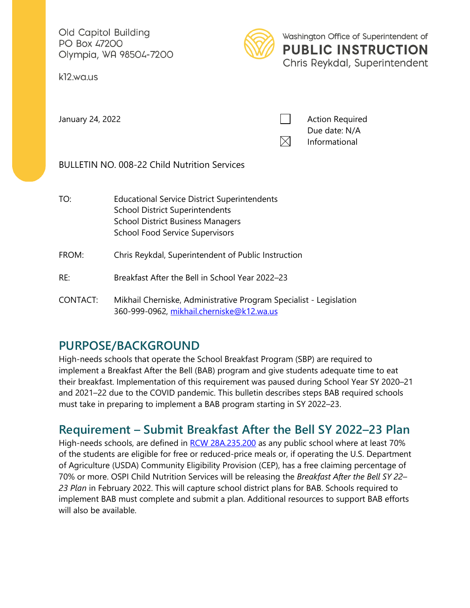Old Capitol Building PO Box 47200 Olympia, WA 98504-7200

k12.wa.us



Washington Office of Superintendent of **PUBLIC INSTRUCTION** Chris Reykdal, Superintendent

January 24, 2022 **Action Required Action Required** Due date: N/A  $\boxtimes$ Informational

BULLETIN NO. 008-22 Child Nutrition Services

- TO: Educational Service District Superintendents School District Superintendents School District Business Managers School Food Service Supervisors
- FROM: Chris Reykdal, Superintendent of Public Instruction
- RE: Breakfast After the Bell in School Year 2022–23
- CONTACT: Mikhail Cherniske, Administrative Program Specialist Legislation 360-999-0962, [mikhail.cherniske@k12.wa.us](mailto:mikhail.cherniske@k12.wa.us)

# **PURPOSE/BACKGROUND**

High-needs schools that operate the School Breakfast Program (SBP) are required to implement a Breakfast After the Bell (BAB) program and give students adequate time to eat their breakfast. Implementation of this requirement was paused during School Year SY 2020–21 and 2021–22 due to the COVID pandemic. This bulletin describes steps BAB required schools must take in preparing to implement a BAB program starting in SY 2022–23.

# **Requirement – Submit Breakfast After the Bell SY 2022–23 Plan**

High-needs schools, are defined in [RCW 28A.235.200](https://app.leg.wa.gov/rcw/default.aspx?cite=28A.235.200#:%7E:text=Breakfast%20after%20the%20bell%20program%E2%80%94Definitions.,-The%20definitions%20in&text=235.220%20unless%20the%20context%20clearly%20requires%20otherwise.&text=(c)%20%22Breakfast%20in%20the,during%20homeroom%20or%20first%20period.) as any public school where at least 70% of the students are eligible for free or reduced-price meals or, if operating the U.S. Department of Agriculture (USDA) Community Eligibility Provision (CEP), has a free claiming percentage of 70% or more. OSPI Child Nutrition Services will be releasing the *Breakfast After the Bell SY 22– 23 Plan* in February 2022. This will capture school district plans for BAB. Schools required to implement BAB must complete and submit a plan. Additional resources to support BAB efforts will also be available.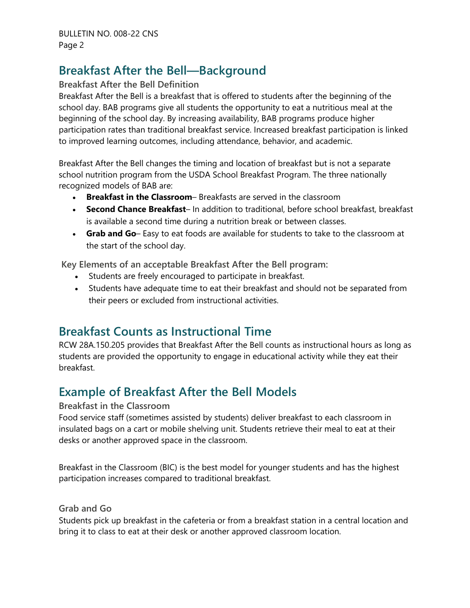## **Breakfast After the Bell—Background**

#### **Breakfast After the Bell Definition**

Breakfast After the Bell is a breakfast that is offered to students after the beginning of the school day. BAB programs give all students the opportunity to eat a nutritious meal at the beginning of the school day. By increasing availability, BAB programs produce higher participation rates than traditional breakfast service. Increased breakfast participation is linked to improved learning outcomes, including attendance, behavior, and academic.

Breakfast After the Bell changes the timing and location of breakfast but is not a separate school nutrition program from the USDA School Breakfast Program. The three nationally recognized models of BAB are:

- **Breakfast in the Classroom** Breakfasts are served in the classroom
- **Second Chance Breakfast** In addition to traditional, before school breakfast, breakfast is available a second time during a nutrition break or between classes.
- **Grab and Go** Easy to eat foods are available for students to take to the classroom at the start of the school day.

**Key Elements of an acceptable Breakfast After the Bell program:**

- Students are freely encouraged to participate in breakfast.
- Students have adequate time to eat their breakfast and should not be separated from their peers or excluded from instructional activities.

### **Breakfast Counts as Instructional Time**

RCW 28A.150.205 provides that Breakfast After the Bell counts as instructional hours as long as students are provided the opportunity to engage in educational activity while they eat their breakfast.

## **Example of Breakfast After the Bell Models**

#### **Breakfast in the Classroom**

Food service staff (sometimes assisted by students) deliver breakfast to each classroom in insulated bags on a cart or mobile shelving unit. Students retrieve their meal to eat at their desks or another approved space in the classroom.

Breakfast in the Classroom (BIC) is the best model for younger students and has the highest participation increases compared to traditional breakfast.

#### **Grab and Go**

Students pick up breakfast in the cafeteria or from a breakfast station in a central location and bring it to class to eat at their desk or another approved classroom location.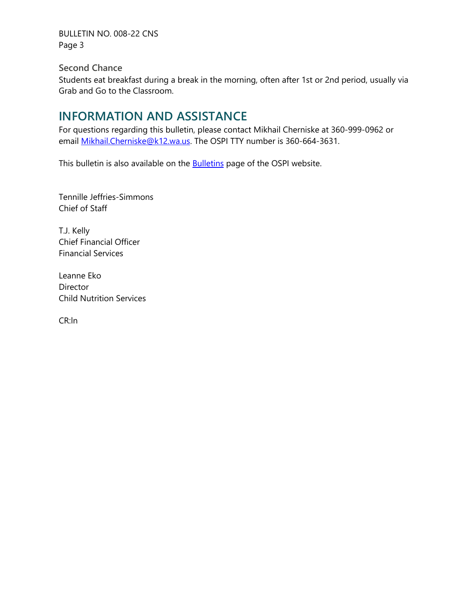BULLETIN NO. 008-22 CNS Page 3

**Second Chance**

Students eat breakfast during a break in the morning, often after 1st or 2nd period, usually via Grab and Go to the Classroom.

## **INFORMATION AND ASSISTANCE**

For questions regarding this bulletin, please contact Mikhail Cherniske at 360-999-0962 or email [Mikhail.Cherniske@k12.wa.us.](mailto:Mikhail.Cherniske@k12.wa.us) The OSPI TTY number is 360-664-3631.

This bulletin is also available on the **Bulletins** page of the OSPI website.

Tennille Jeffries-Simmons Chief of Staff

T.J. Kelly Chief Financial Officer Financial Services

Leanne Eko Director Child Nutrition Services

CR:ln